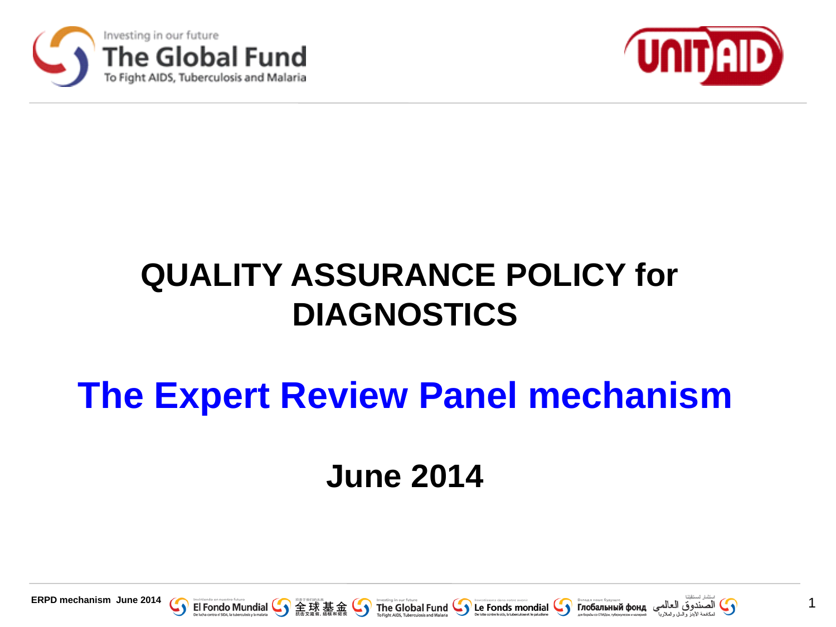



### **QUALITY ASSURANCE POLICY for DIAGNOSTICS**

### **The Expert Review Panel mechanism**

### **June 2014**









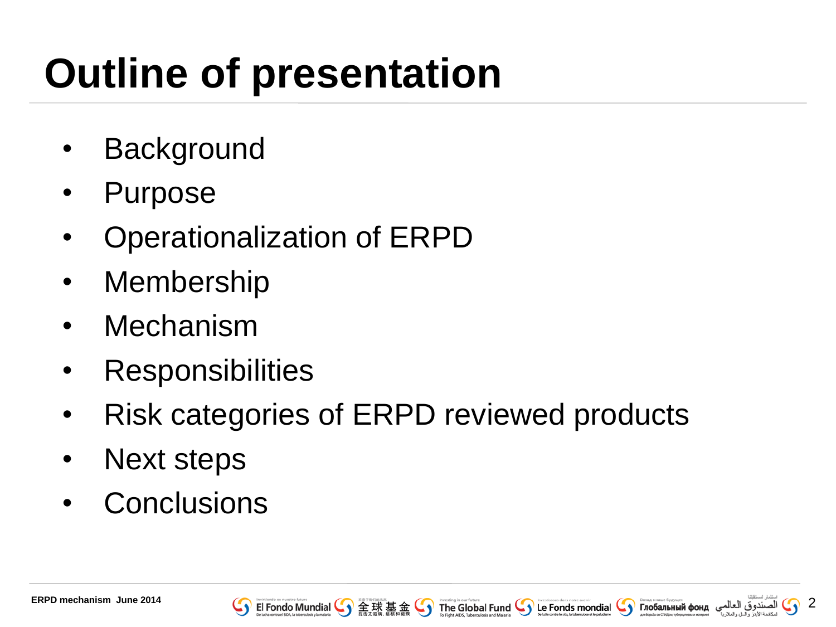# **Outline of presentation**

- Background
- Purpose
- Operationalization of ERPD
- Membership
- Mechanism
- **Responsibilities**
- Risk categories of ERPD reviewed products
- Next steps
- **Conclusions**

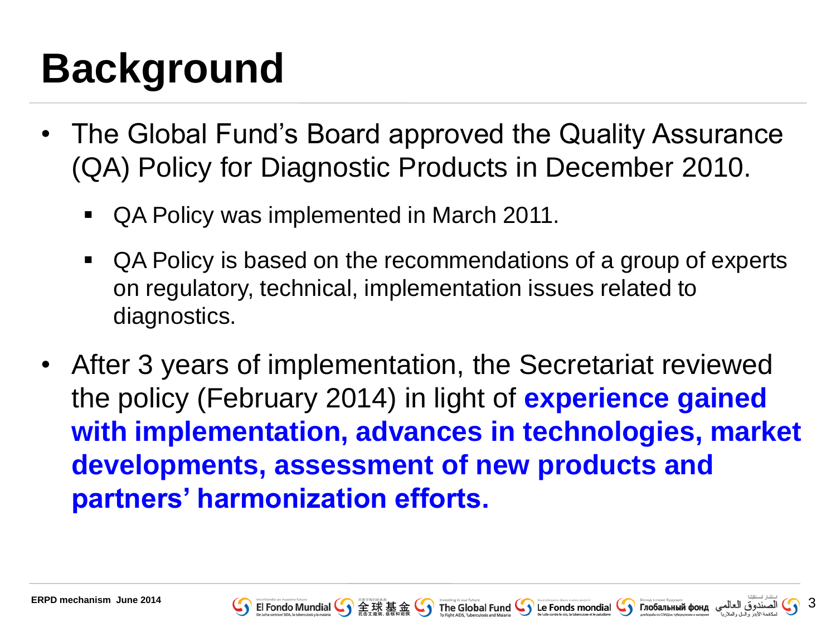# **Background**

- The Global Fund's Board approved the Quality Assurance (QA) Policy for Diagnostic Products in December 2010.
	- QA Policy was implemented in March 2011.
	- QA Policy is based on the recommendations of a group of experts on regulatory, technical, implementation issues related to diagnostics.
- After 3 years of implementation, the Secretariat reviewed the policy (February 2014) in light of **experience gained with implementation, advances in technologies, market developments, assessment of new products and partners' harmonization efforts.**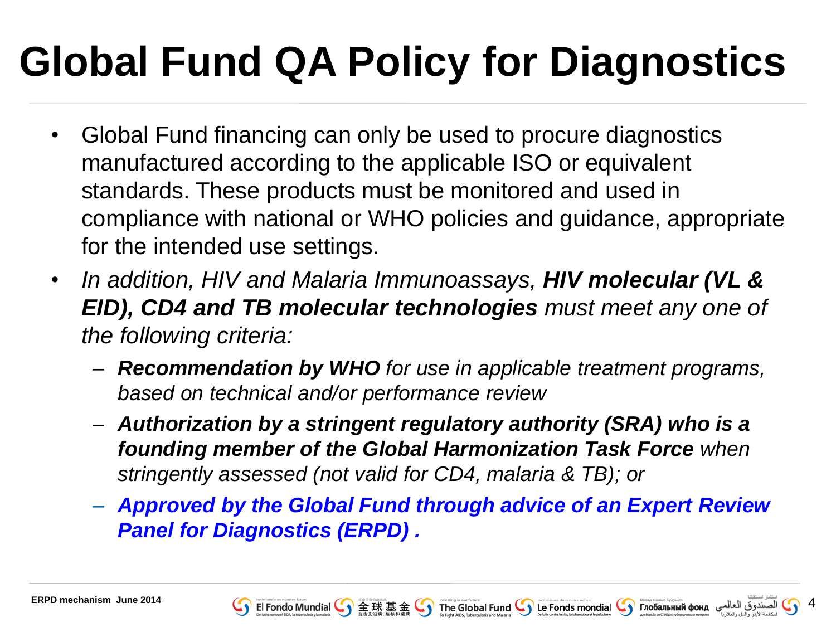# **Global Fund QA Policy for Diagnostics**

- Global Fund financing can only be used to procure diagnostics manufactured according to the applicable ISO or equivalent standards. These products must be monitored and used in compliance with national or WHO policies and guidance, appropriate for the intended use settings.
- *In addition, HIV and Malaria Immunoassays, HIV molecular (VL & EID), CD4 and TB molecular technologies must meet any one of the following criteria:*
	- *Recommendation by WHO for use in applicable treatment programs, based on technical and/or performance review*
	- *Authorization by a stringent regulatory authority (SRA) who is a founding member of the Global Harmonization Task Force when stringently assessed (not valid for CD4, malaria & TB); or*
	- *Approved by the Global Fund through advice of an Expert Review Panel for Diagnostics (ERPD) .*



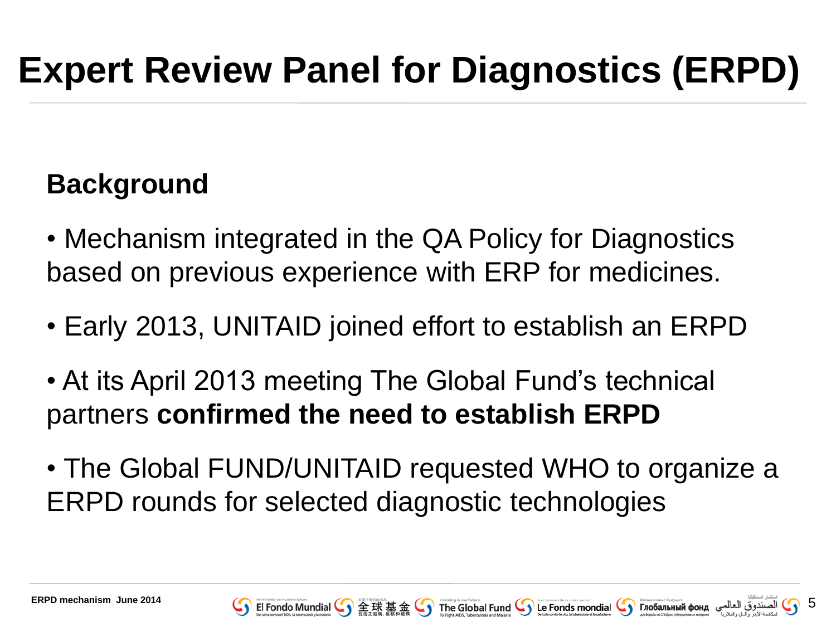#### **Background**

- Mechanism integrated in the QA Policy for Diagnostics based on previous experience with ERP for medicines.
- Early 2013, UNITAID joined effort to establish an ERPD
- At its April 2013 meeting The Global Fund's technical partners **confirmed the need to establish ERPD**
- The Global FUND/UNITAID requested WHO to organize a ERPD rounds for selected diagnostic technologies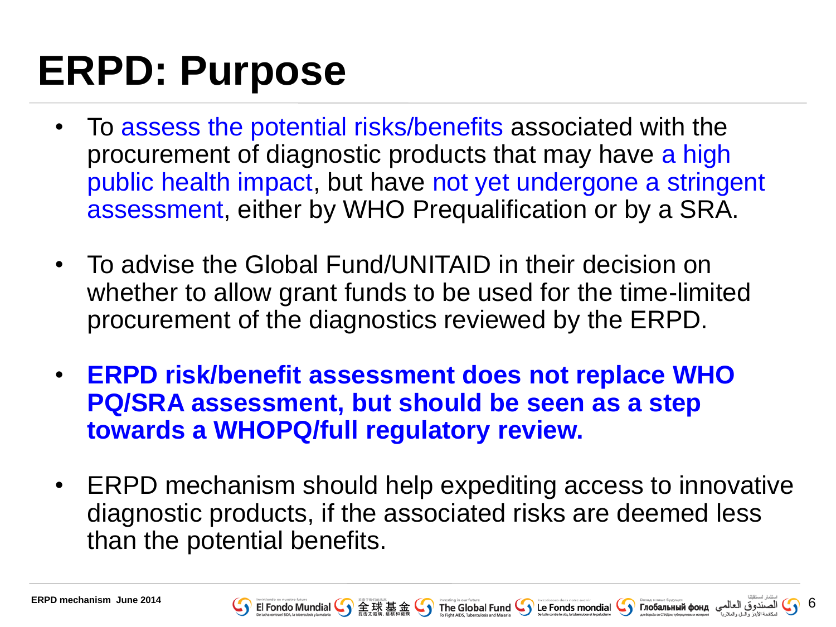### **ERPD: Purpose**

- To assess the potential risks/benefits associated with the procurement of diagnostic products that may have a high public health impact, but have not yet undergone a stringent assessment, either by WHO Prequalification or by a SRA.
- To advise the Global Fund/UNITAID in their decision on whether to allow grant funds to be used for the time-limited procurement of the diagnostics reviewed by the ERPD.
- **ERPD risk/benefit assessment does not replace WHO PQ/SRA assessment, but should be seen as a step towards a WHOPQ/full regulatory review.**
- ERPD mechanism should help expediting access to innovative diagnostic products, if the associated risks are deemed less than the potential benefits.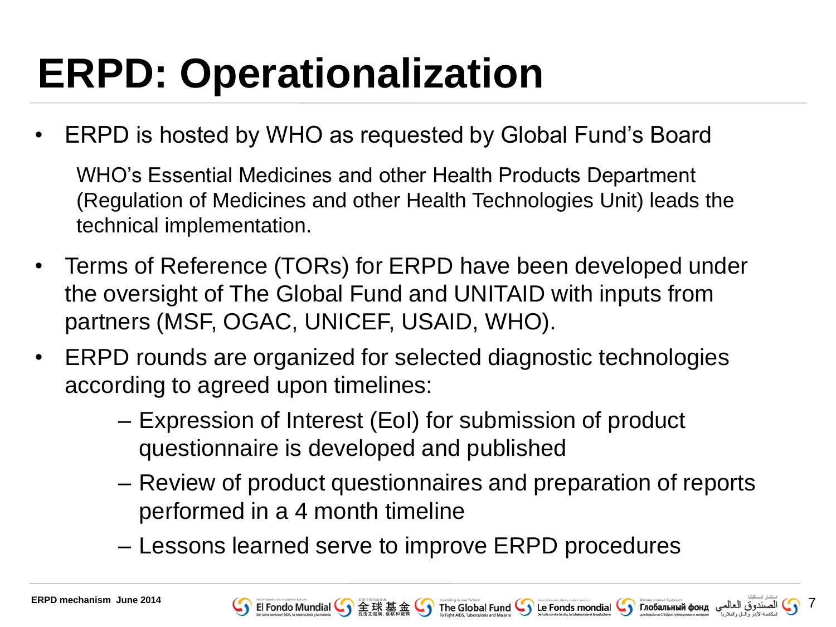# **ERPD: Operationalization**

• ERPD is hosted by WHO as requested by Global Fund's Board

WHO's Essential Medicines and other Health Products Department (Regulation of Medicines and other Health Technologies Unit) leads the technical implementation.

- Terms of Reference (TORs) for ERPD have been developed under the oversight of The Global Fund and UNITAID with inputs from partners (MSF, OGAC, UNICEF, USAID, WHO).
- ERPD rounds are organized for selected diagnostic technologies according to agreed upon timelines:
	- Expression of Interest (EoI) for submission of product questionnaire is developed and published
	- Review of product questionnaires and preparation of reports performed in a 4 month timeline
	- Lessons learned serve to improve ERPD procedures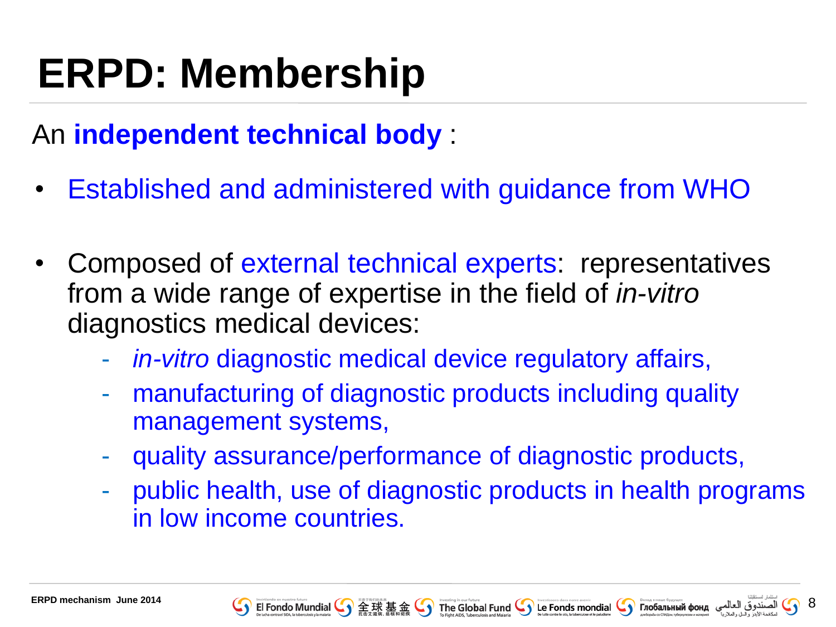## **ERPD: Membership**

### An **independent technical body** :

- Established and administered with guidance from WHO
- Composed of external technical experts: representatives from a wide range of expertise in the field of *in-vitro* diagnostics medical devices:
	- in-vitro diagnostic medical device regulatory affairs,
	- manufacturing of diagnostic products including quality management systems,
	- quality assurance/performance of diagnostic products,
	- public health, use of diagnostic products in health programs in low income countries.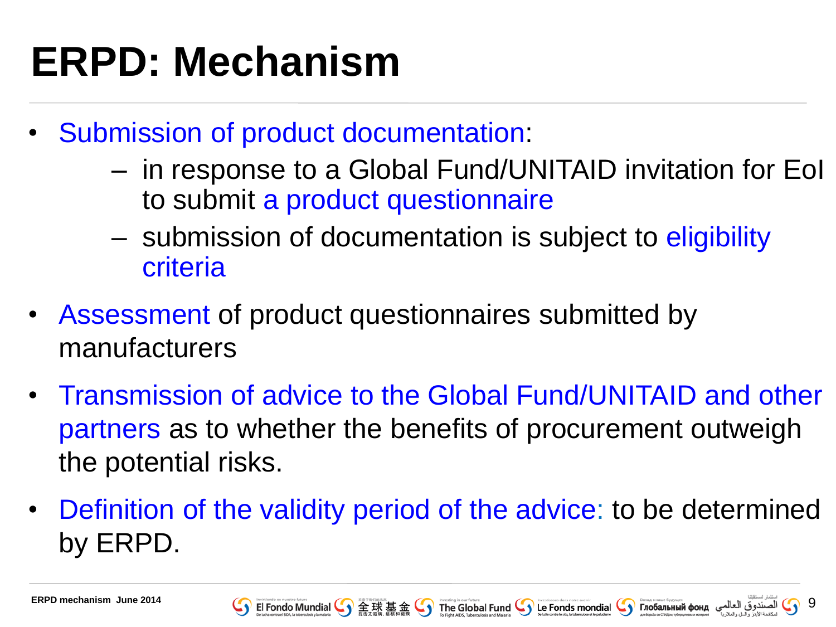# **ERPD: Mechanism**

- Submission of product documentation:
	- in response to a Global Fund/UNITAID invitation for EoI to submit a product questionnaire
	- submission of documentation is subject to eligibility criteria
- Assessment of product questionnaires submitted by manufacturers
- Transmission of advice to the Global Fund/UNITAID and other partners as to whether the benefits of procurement outweigh the potential risks.
- Definition of the validity period of the advice: to be determined by ERPD.

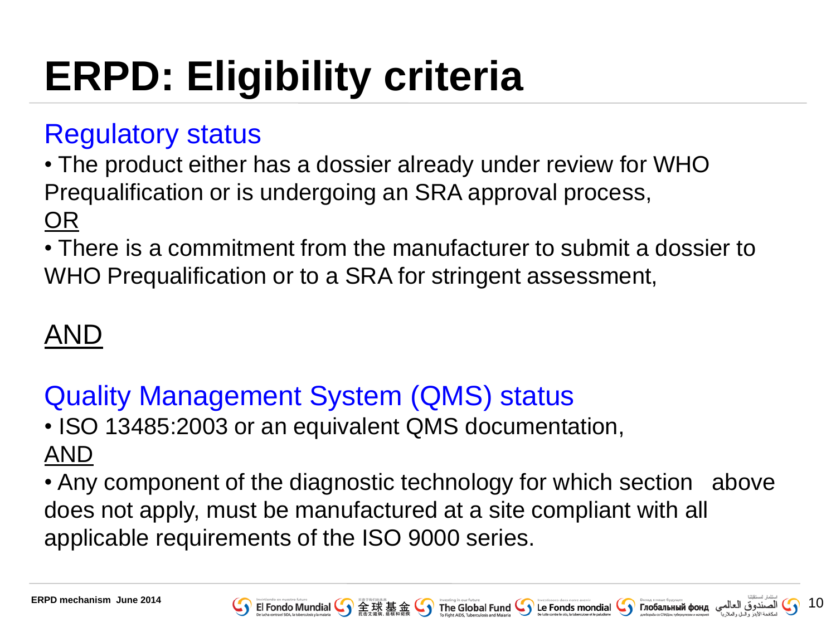# **ERPD: Eligibility criteria**

#### Regulatory status

• The product either has a dossier already under review for WHO Prequalification or is undergoing an SRA approval process, OR

• There is a commitment from the manufacturer to submit a dossier to WHO Prequalification or to a SRA for stringent assessment,

### AND

### Quality Management System (QMS) status

• ISO 13485:2003 or an equivalent QMS documentation, AND

• Any component of the diagnostic technology for which section above does not apply, must be manufactured at a site compliant with all applicable requirements of the ISO 9000 series.



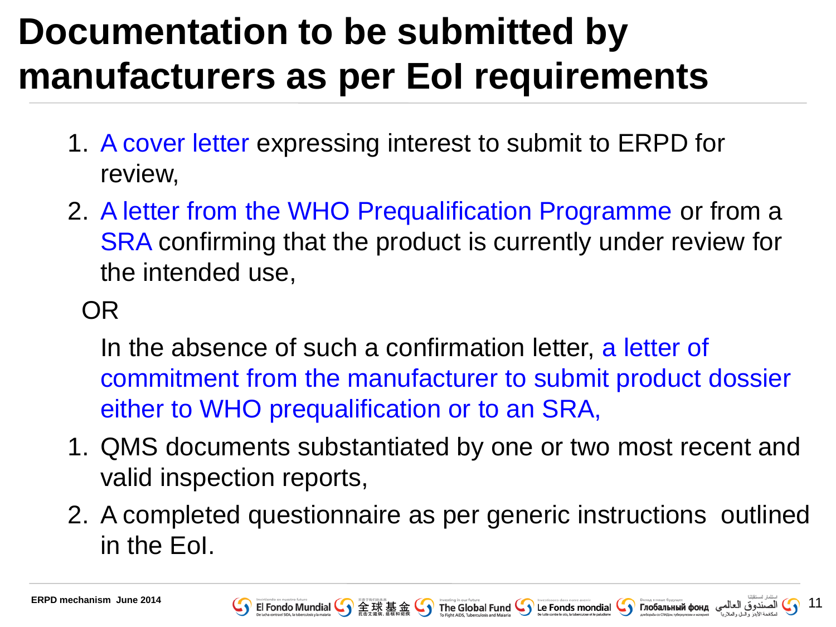### **Documentation to be submitted by manufacturers as per EoI requirements**

- 1. A cover letter expressing interest to submit to ERPD for review,
- 2. A letter from the WHO Prequalification Programme or from a SRA confirming that the product is currently under review for the intended use,

#### OR

In the absence of such a confirmation letter, a letter of commitment from the manufacturer to submit product dossier either to WHO prequalification or to an SRA,

- 1. QMS documents substantiated by one or two most recent and valid inspection reports,
- 2. A completed questionnaire as per generic instructions outlined in the EoI.



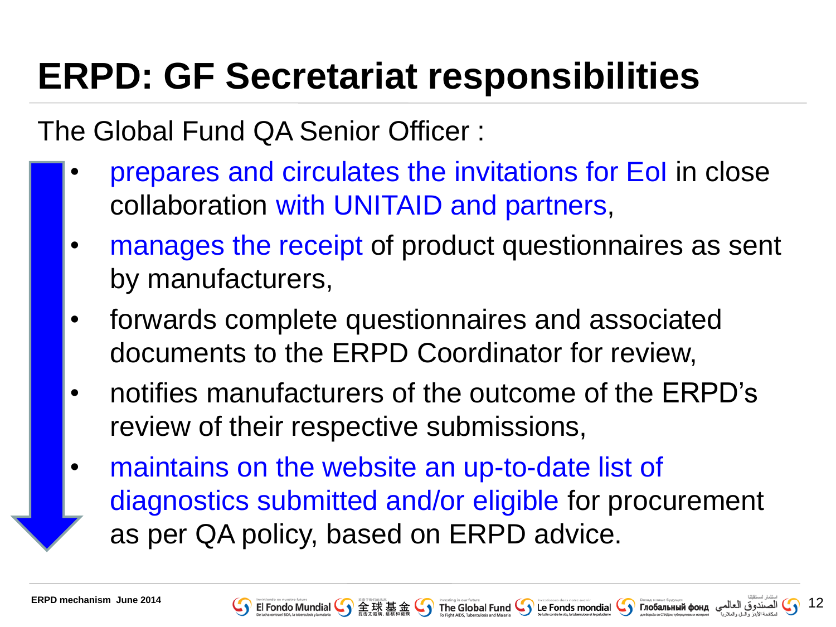### **ERPD: GF Secretariat responsibilities**

The Global Fund QA Senior Officer :

- prepares and circulates the invitations for EoI in close collaboration with UNITAID and partners,
- manages the receipt of product questionnaires as sent by manufacturers,
- forwards complete questionnaires and associated documents to the ERPD Coordinator for review,
- notifies manufacturers of the outcome of the ERPD's review of their respective submissions,
- maintains on the website an up-to-date list of diagnostics submitted and/or eligible for procurement as per QA policy, based on ERPD advice.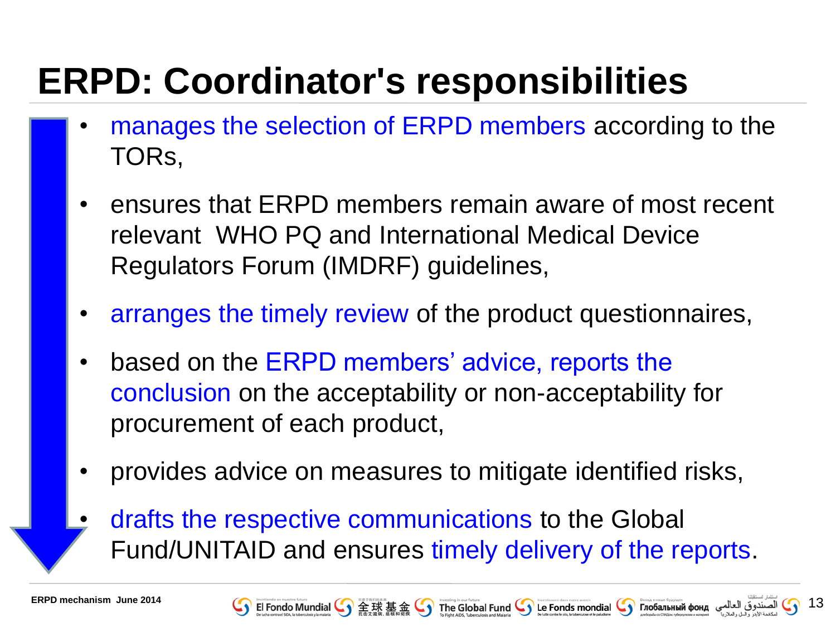### **ERPD: Coordinator's responsibilities**

- manages the selection of ERPD members according to the TORs,
- ensures that ERPD members remain aware of most recent relevant WHO PQ and International Medical Device Regulators Forum (IMDRF) guidelines,
- arranges the timely review of the product questionnaires,
- based on the ERPD members' advice, reports the conclusion on the acceptability or non-acceptability for procurement of each product,
- provides advice on measures to mitigate identified risks,
- drafts the respective communications to the Global Fund/UNITAID and ensures timely delivery of the reports.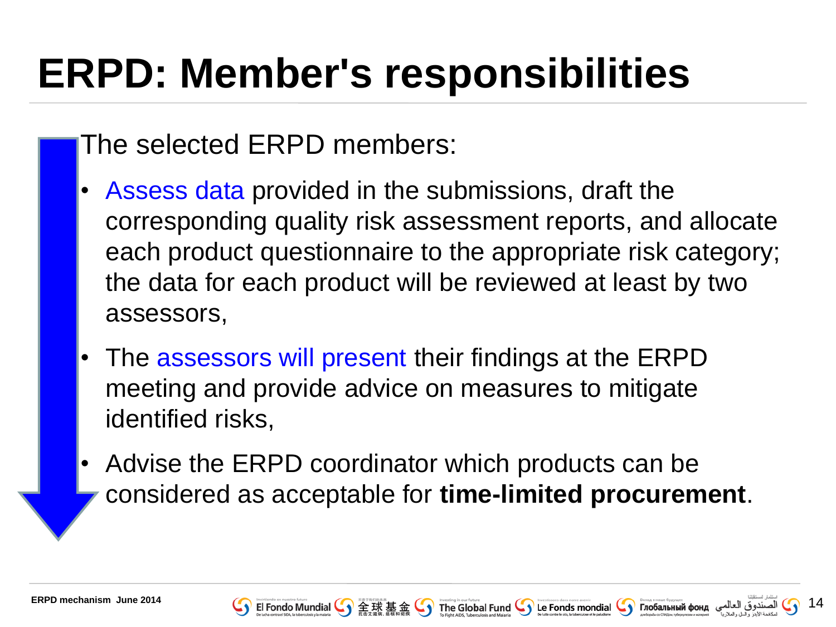## **ERPD: Member's responsibilities**

#### The selected ERPD members:

- Assess data provided in the submissions, draft the corresponding quality risk assessment reports, and allocate each product questionnaire to the appropriate risk category; the data for each product will be reviewed at least by two assessors,
- The assessors will present their findings at the ERPD meeting and provide advice on measures to mitigate identified risks,
- Advise the ERPD coordinator which products can be considered as acceptable for **time-limited procurement**.

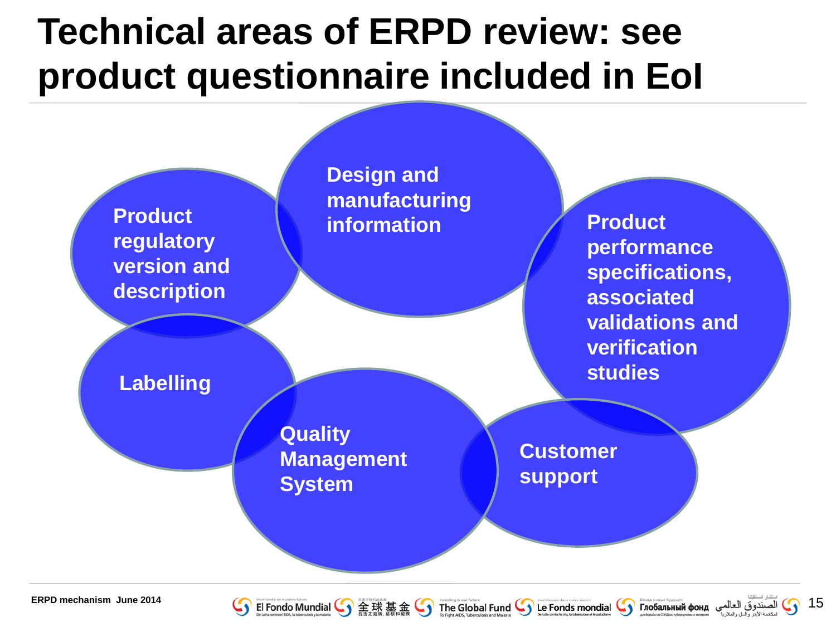### **Technical areas of ERPD review: see product questionnaire included in EoI**





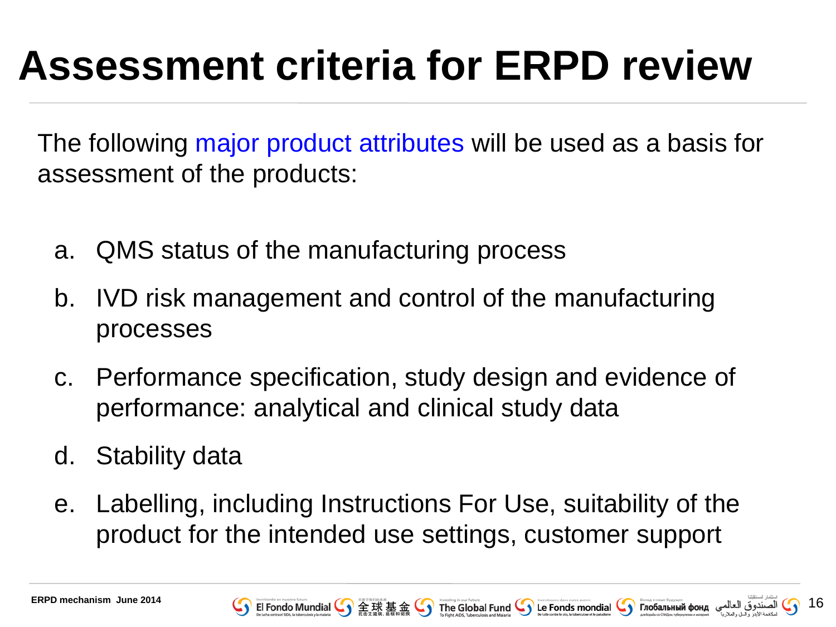# **Assessment criteria for ERPD review**

The following major product attributes will be used as a basis for assessment of the products:

- a. QMS status of the manufacturing process
- b. IVD risk management and control of the manufacturing processes
- c. Performance specification, study design and evidence of performance: analytical and clinical study data
- d. Stability data
- e. Labelling, including Instructions For Use, suitability of the product for the intended use settings, customer support

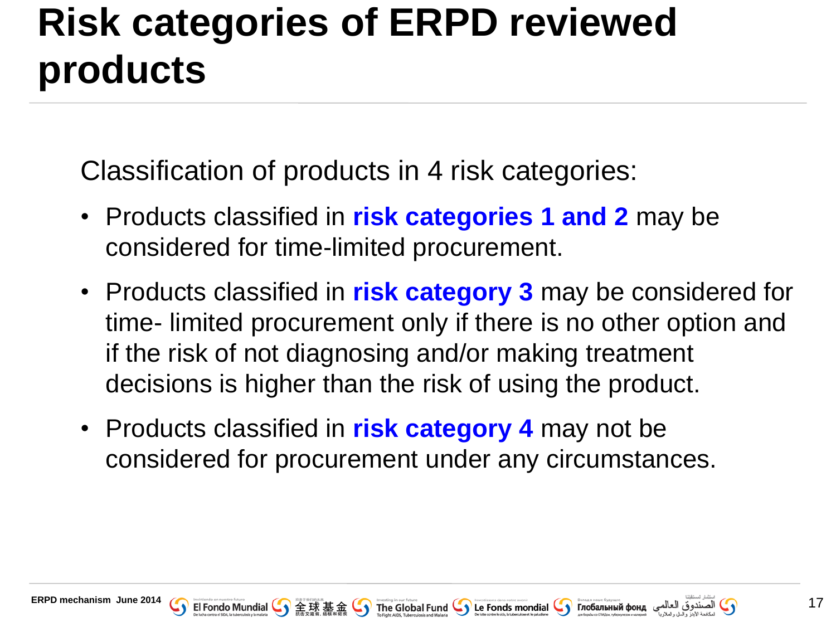### **Risk categories of ERPD reviewed products**

Classification of products in 4 risk categories:

- Products classified in **risk categories 1 and 2** may be considered for time-limited procurement.
- Products classified in **risk category 3** may be considered for time- limited procurement only if there is no other option and if the risk of not diagnosing and/or making treatment decisions is higher than the risk of using the product.
- Products classified in **risk category 4** may not be considered for procurement under any circumstances.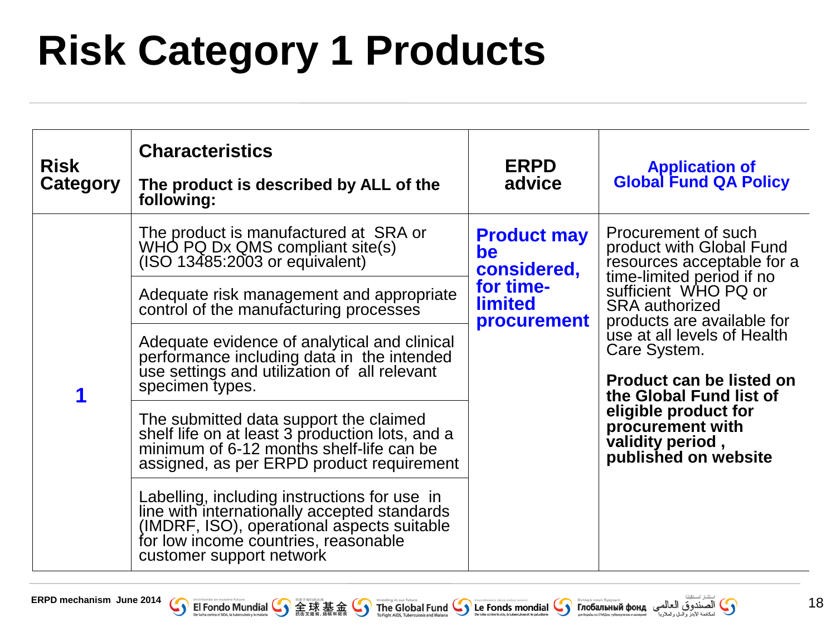# **Risk Category 1 Products**

| <b>Risk</b><br><b>Category</b> | <b>Characteristics</b><br>The product is described by ALL of the<br>following:                                                                                                                                                                                                                                                                                                                                                                                                                                                                                                                                                                                                                                                                                            | <b>ERPD</b><br>advice                                                                        | <b>Application of</b><br><b>Global Fund QA Policy</b>                                                                                                                                                                                                                                                                                                                                          |
|--------------------------------|---------------------------------------------------------------------------------------------------------------------------------------------------------------------------------------------------------------------------------------------------------------------------------------------------------------------------------------------------------------------------------------------------------------------------------------------------------------------------------------------------------------------------------------------------------------------------------------------------------------------------------------------------------------------------------------------------------------------------------------------------------------------------|----------------------------------------------------------------------------------------------|------------------------------------------------------------------------------------------------------------------------------------------------------------------------------------------------------------------------------------------------------------------------------------------------------------------------------------------------------------------------------------------------|
| 1                              | The product is manufactured at SRA or<br>WHO PQ Dx QMS compliant site(s)<br>(ISO 13485:2003 or equivalent)<br>Adequate risk management and appropriate<br>control of the manufacturing processes<br>Adequate evidence of analytical and clinical<br>performance including data in the intended<br>use settings and utilization of all relevant<br>specimen types.<br>The submitted data support the claimed<br>shelf life on at least 3 production lots, and a<br>minimum of 6-12 months shelf-life can be<br>assigned, as per ERPD product requirement<br>Labelling, including instructions for use in<br>line with internationally accepted standards<br>(IMDRF, ISO), operational aspects suitable<br>for low income countries, reasonable<br>customer support network | <b>Product may</b><br>be<br>considered,<br>for time-<br><b>limited</b><br><b>procurement</b> | Procurement of such<br>product with Global Fund<br>resources acceptable for a<br>time-limited period if no<br>sufficient WHO PQ or<br><b>SRA</b> authorized<br>products are available for<br>use at all levels of Health<br>Care System.<br><b>Product can be listed on</b><br>the Global Fund list of<br>eligible product for<br>procurement with<br>validity period,<br>published on website |

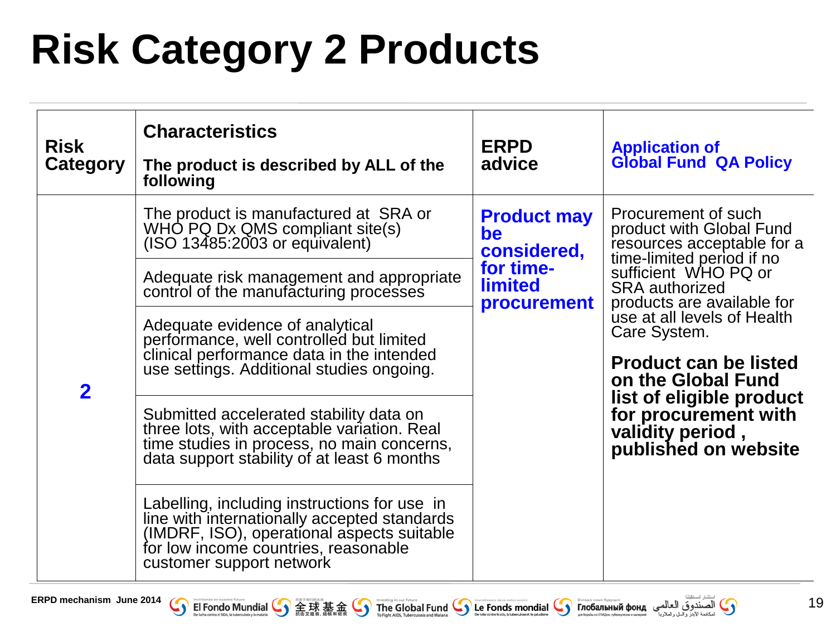# **Risk Category 2 Products**

| <b>Risk</b><br><b>Category</b> | <b>Characteristics</b><br>The product is described by ALL of the<br>following                                                                                                                                  | <b>ERPD</b><br>advice                                                                        | <b>Application of</b><br><b>Global Fund QA Policy</b>                                                                                                                                                                                                                                                                                                                                          |
|--------------------------------|----------------------------------------------------------------------------------------------------------------------------------------------------------------------------------------------------------------|----------------------------------------------------------------------------------------------|------------------------------------------------------------------------------------------------------------------------------------------------------------------------------------------------------------------------------------------------------------------------------------------------------------------------------------------------------------------------------------------------|
| $\overline{\mathbf{2}}$        | The product is manufactured at SRA or<br>WHO PQ Dx QMS compliant site(s)<br>(ISO 13485:2003 or equivalent)                                                                                                     | <b>Product may</b><br>be<br>considered,<br>for time-<br><b>limited</b><br><b>procurement</b> | Procurement of such<br>product with Global Fund<br>resources acceptable for a<br>time-limited period if no<br>sufficient WHO PQ or<br><b>SRA</b> authorized<br>products are available for<br>use at all levels of Health<br>Care System.<br><b>Product can be listed</b><br>on the Global Fund<br>list of eligible product<br>for procurement with<br>validity period,<br>published on website |
|                                | Adequate risk management and appropriate<br>control of the manufacturing processes                                                                                                                             |                                                                                              |                                                                                                                                                                                                                                                                                                                                                                                                |
|                                | Adequate evidence of analytical<br>performance, well controlled but limited<br>clinical performance data in the intended<br>use settings. Additional studies ongoing.                                          |                                                                                              |                                                                                                                                                                                                                                                                                                                                                                                                |
|                                | Submitted accelerated stability data on<br>three lots, with acceptable variation. Real<br>time studies in process, no main concerns,<br>data support stability of at least 6 months                            |                                                                                              |                                                                                                                                                                                                                                                                                                                                                                                                |
|                                | Labelling, including instructions for use in<br>line with internationally accepted standards<br>(IMDRF, ISO), operational aspects suitable<br>for low income countries, reasonable<br>customer support network |                                                                                              |                                                                                                                                                                                                                                                                                                                                                                                                |

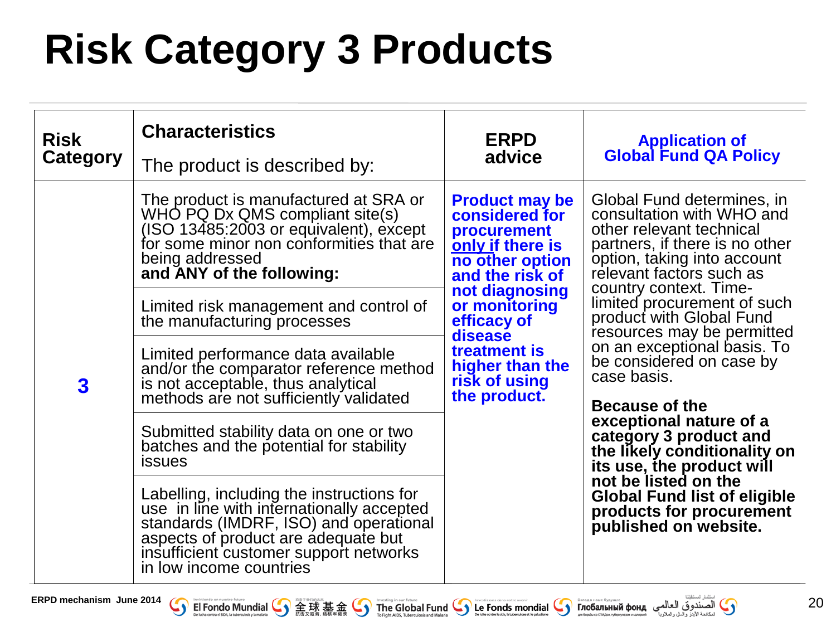# **Risk Category 3 Products**

| <b>Risk</b><br>Category | <b>Characteristics</b><br>The product is described by:                                                                                                                                                                                       | <b>ERPD</b><br>advice                                                                                                                                                                                                                                    | <b>Application of</b><br><b>Global Fund QA Policy</b>                                                                                                                                                                                                                                                                                                                                                                                                                                                                                                                                                                                 |
|-------------------------|----------------------------------------------------------------------------------------------------------------------------------------------------------------------------------------------------------------------------------------------|----------------------------------------------------------------------------------------------------------------------------------------------------------------------------------------------------------------------------------------------------------|---------------------------------------------------------------------------------------------------------------------------------------------------------------------------------------------------------------------------------------------------------------------------------------------------------------------------------------------------------------------------------------------------------------------------------------------------------------------------------------------------------------------------------------------------------------------------------------------------------------------------------------|
| 3                       | The product is manufactured at SRA or<br>WHO PQ Dx QMS compliant site(s)<br>(ISO 13485:2003 or equivalent), except<br>for some minor non conformities that are<br>being addressed<br>and ANY of the following:                               | <b>Product may be</b><br>considered for<br><b>procurement</b><br>only if there is<br>no other option<br>and the risk of<br>not diagnosing<br>or monitoring<br>efficacy of<br>disease<br>treatment is<br>higher than the<br>risk of using<br>the product. | Global Fund determines, in<br>consultation with WHO and<br>other relevant technical<br>partners, if there is no other<br>option, taking into account<br>relevant factors such as<br>country context. Time-<br>limited procurement of such<br>product with Global Fund<br>resources may be permitted<br>on an exceptional basis. To<br>be considered on case by<br>case basis.<br>Because of the<br>exceptional nature of a<br>category 3 product and<br>the likely conditionality on<br>its use, the product will<br>not be listed on the<br><b>Global Fund list of eligible</b><br>products for procurement<br>published on website. |
|                         | Limited risk management and control of<br>the manufacturing processes                                                                                                                                                                        |                                                                                                                                                                                                                                                          |                                                                                                                                                                                                                                                                                                                                                                                                                                                                                                                                                                                                                                       |
|                         | Limited performance data available<br>and/or the comparator reference method<br>is not acceptable, thus analytical<br>methods are not sufficiently validated                                                                                 |                                                                                                                                                                                                                                                          |                                                                                                                                                                                                                                                                                                                                                                                                                                                                                                                                                                                                                                       |
|                         | Submitted stability data on one or two<br>batches and the potential for stability<br><b>issues</b>                                                                                                                                           |                                                                                                                                                                                                                                                          |                                                                                                                                                                                                                                                                                                                                                                                                                                                                                                                                                                                                                                       |
|                         | Labelling, including the instructions for<br>use in line with internationally accepted<br>standards (IMDRF, ISO) and operational<br>aspects of product are adequate but<br>insufficient customer support networks<br>in low income countries |                                                                                                                                                                                                                                                          |                                                                                                                                                                                                                                                                                                                                                                                                                                                                                                                                                                                                                                       |



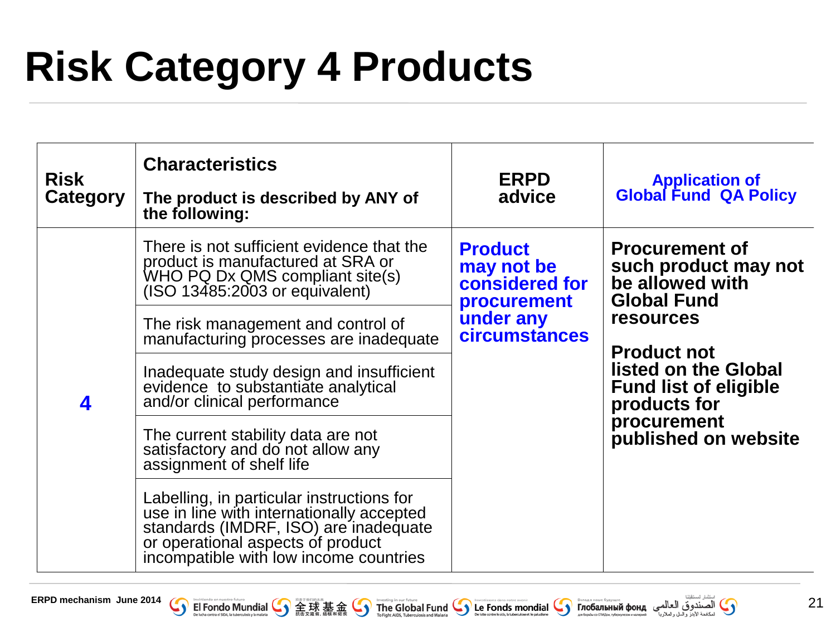# **Risk Category 4 Products**

| <b>Risk</b><br><b>Category</b> | <b>Characteristics</b><br>The product is described by ANY of<br>the following:                                                                                                                                                      | <b>ERPD</b><br>advice                                                                                     | <b>Application of</b><br><b>Global Fund QA Policy</b>                                                                            |
|--------------------------------|-------------------------------------------------------------------------------------------------------------------------------------------------------------------------------------------------------------------------------------|-----------------------------------------------------------------------------------------------------------|----------------------------------------------------------------------------------------------------------------------------------|
| 4                              | There is not sufficient evidence that the<br>product is manufactured at SRA or<br>WHO PQ Dx QMS compliant site(s)<br>(ISO 13485:2003 or equivalent)<br>The risk management and control of<br>manufacturing processes are inadequate | <b>Product</b><br>may not be<br>considered for<br><b>procurement</b><br>under any<br><b>circumstances</b> | <b>Procurement of</b><br>such product may not<br>be allowed with<br><b>Global Fund</b><br><b>resources</b><br><b>Product not</b> |
|                                | Inadequate study design and insufficient<br>evidence to substantiate analytical<br>and/or clinical performance<br>The current stability data are not<br>satisfactory and do not allow any<br>assignment of shelf life               |                                                                                                           | listed on the Global<br><b>Fund list of eligible</b><br>products for<br>procurement<br>published on website                      |
|                                | Labelling, in particular instructions for<br>use in line with internationally accepted<br>standards (IMDRF, ISO) are inadequate<br>or operational aspects of product<br>incompatible with low income countries                      |                                                                                                           |                                                                                                                                  |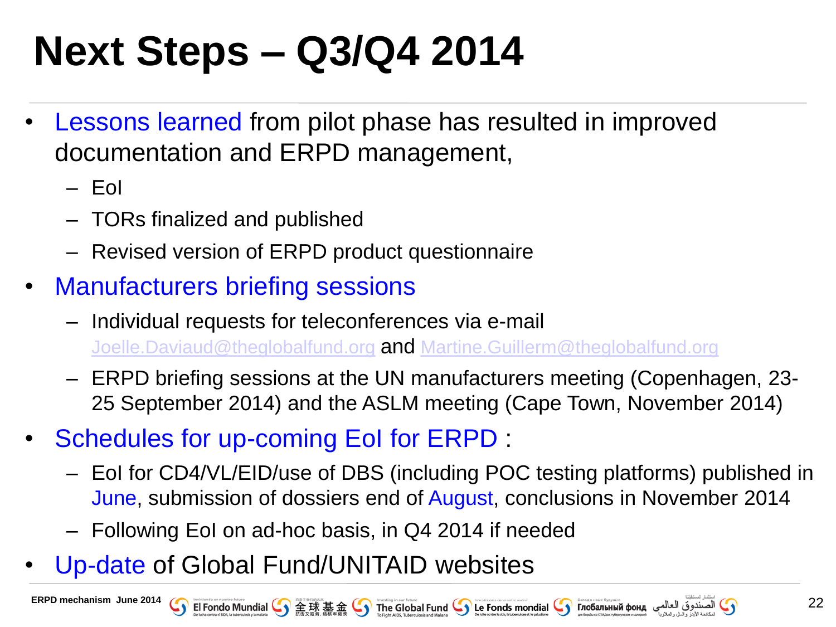## **Next Steps – Q3/Q4 2014**

- Lessons learned from pilot phase has resulted in improved documentation and ERPD management,
	- EoI
	- TORs finalized and published
	- Revised version of ERPD product questionnaire
- Manufacturers briefing sessions
	- ‒ Individual requests for teleconferences via e-mail [Joelle.Daviaud@theglobalfund.org](mailto:Joelle.Daviaud@theglobalfund.org) **and** [Martine.Guillerm@theglobalfund.org](mailto:Martine.Guillerm@thegloablafund.org)
	- ‒ ERPD briefing sessions at the UN manufacturers meeting (Copenhagen, 23- 25 September 2014) and the ASLM meeting (Cape Town, November 2014)
- Schedules for up-coming EoI for ERPD :
	- EoI for CD4/VL/EID/use of DBS (including POC testing platforms) published in June, submission of dossiers end of August, conclusions in November 2014
	- Following EoI on ad-hoc basis, in Q4 2014 if needed
- Up-date of Global Fund/UNITAID websites